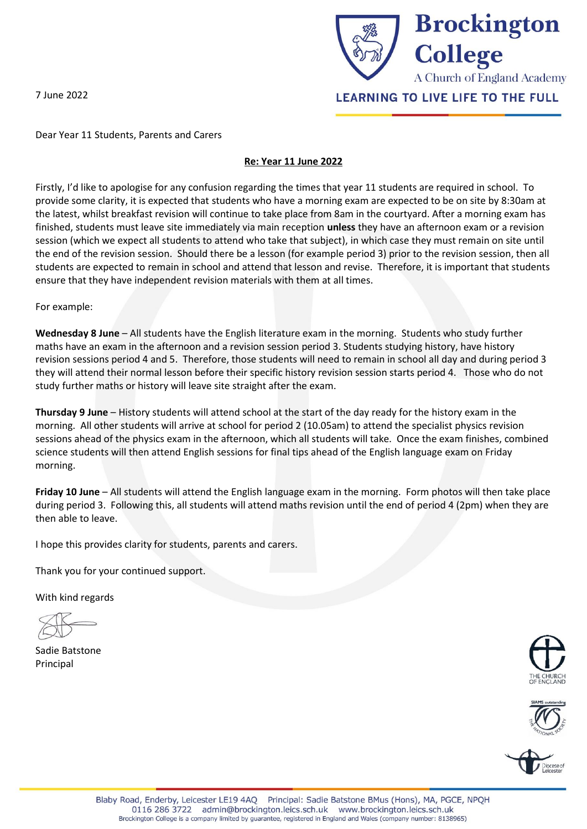7 June 2022



Dear Year 11 Students, Parents and Carers

# **Re: Year 11 June 2022**

Firstly, I'd like to apologise for any confusion regarding the times that year 11 students are required in school. To provide some clarity, it is expected that students who have a morning exam are expected to be on site by 8:30am at the latest, whilst breakfast revision will continue to take place from 8am in the courtyard. After a morning exam has finished, students must leave site immediately via main reception **unless** they have an afternoon exam or a revision session (which we expect all students to attend who take that subject), in which case they must remain on site until the end of the revision session. Should there be a lesson (for example period 3) prior to the revision session, then all students are expected to remain in school and attend that lesson and revise. Therefore, it is important that students ensure that they have independent revision materials with them at all times.

For example:

**Wednesday 8 June** – All students have the English literature exam in the morning. Students who study further maths have an exam in the afternoon and a revision session period 3. Students studying history, have history revision sessions period 4 and 5. Therefore, those students will need to remain in school all day and during period 3 they will attend their normal lesson before their specific history revision session starts period 4. Those who do not study further maths or history will leave site straight after the exam.

**Thursday 9 June** – History students will attend school at the start of the day ready for the history exam in the morning. All other students will arrive at school for period 2 (10.05am) to attend the specialist physics revision sessions ahead of the physics exam in the afternoon, which all students will take. Once the exam finishes, combined science students will then attend English sessions for final tips ahead of the English language exam on Friday morning.

**Friday 10 June** – All students will attend the English language exam in the morning. Form photos will then take place during period 3. Following this, all students will attend maths revision until the end of period 4 (2pm) when they are then able to leave.

I hope this provides clarity for students, parents and carers.

Thank you for your continued support.

With kind regards

Sadie Batstone Principal